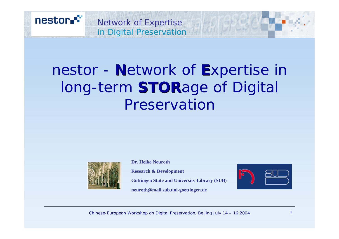

## nestor - **N**etwork of **E**xpertise in long-term **STOR**age of Digital Preservation



**Dr. Heike NeurothResearch & Development Göttingen State and University Library (SUB) neuroth@mail.sub.uni-goettingen.de**



Chinese-European Workshop on Digital Preservation, Beijing July 14 – 16 2004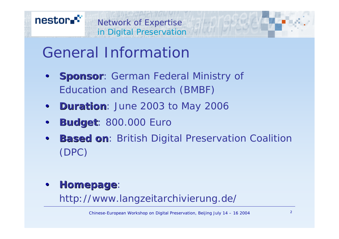#### nestor.<sup>\*\*</sup> Network of Expertise in Digital Preservation

# General Information

- •**Sponsor**: German Federal Ministry of Education and Research (BMBF)
- **Duration**: June 2003 to May 2006
- •**Budget**: 800.000 Euro
- •**Based on**: British Digital Preservation Coalition (DPC)
- $\bullet$ **Homepage Homepage**:

http://www.langzeitarchivierung.de/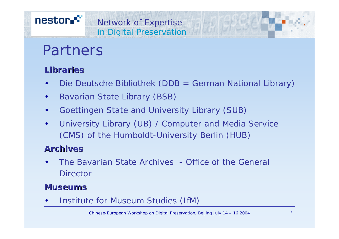### nestor.<sup>\*\*</sup>

### Partners

#### **Libraries Libraries**

- •Die Deutsche Bibliothek (DDB = German National Library)
- •Bavarian State Library (BSB)
- •Goettingen State and University Library (SUB)

Network of Expertise

in Digital Preservation

• University Library (UB) / Computer and Media Service (CMS) of the Humboldt-University Berlin (HUB)

### **Archives Archives**

• The Bavarian State Archives - Office of the General **Director** 

#### **Museums Museums**

•Institute for Museum Studies (IfM)